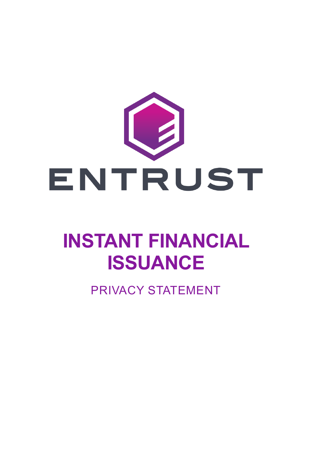

# **INSTANT FINANCIAL ISSUANCE**

PRIVACY STATEMENT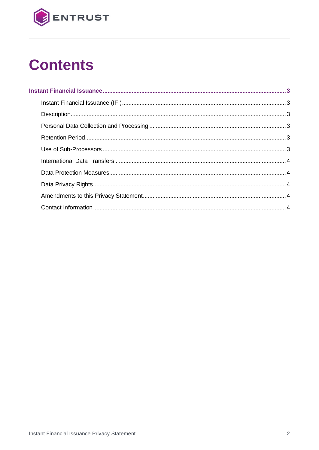

## **Contents**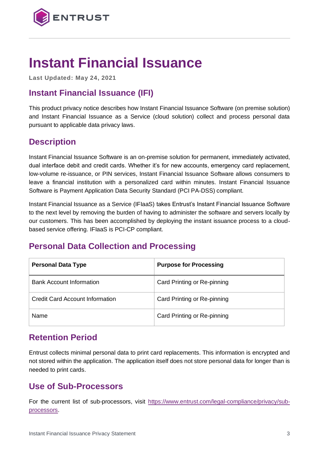

### <span id="page-2-0"></span>**Instant Financial Issuance**

**Last Updated: May 24, 2021**

#### <span id="page-2-1"></span>**Instant Financial Issuance (IFI)**

This product privacy notice describes how Instant Financial Issuance Software (on premise solution) and Instant Financial Issuance as a Service (cloud solution) collect and process personal data pursuant to applicable data privacy laws.

#### <span id="page-2-2"></span>**Description**

Instant Financial Issuance Software is an on-premise solution for permanent, immediately activated, dual interface debit and credit cards. Whether it's for new accounts, emergency card replacement, low-volume re-issuance, or PIN services, Instant Financial Issuance Software allows consumers to leave a financial institution with a personalized card within minutes. Instant Financial Issuance Software is Payment Application Data Security Standard (PCI PA-DSS) compliant.

Instant Financial Issuance as a Service (IFIaaS) takes Entrust's Instant Financial Issuance Software to the next level by removing the burden of having to administer the software and servers locally by our customers. This has been accomplished by deploying the instant issuance process to a cloudbased service offering. IFIaaS is PCI-CP compliant.

#### <span id="page-2-3"></span>**Personal Data Collection and Processing**

| <b>Personal Data Type</b>       | <b>Purpose for Processing</b> |
|---------------------------------|-------------------------------|
| <b>Bank Account Information</b> | Card Printing or Re-pinning   |
| Credit Card Account Information | Card Printing or Re-pinning   |
| Name                            | Card Printing or Re-pinning   |

#### <span id="page-2-4"></span>**Retention Period**

Entrust collects minimal personal data to print card replacements. This information is encrypted and not stored within the application. The application itself does not store personal data for longer than is needed to print cards.

#### <span id="page-2-5"></span>**Use of Sub-Processors**

For the current list of sub-processors, visit [https://www.entrust.com/legal-compliance/privacy/sub](https://www.entrust.com/legal-compliance/privacy/sub-processors)[processors.](https://www.entrust.com/legal-compliance/privacy/sub-processors)